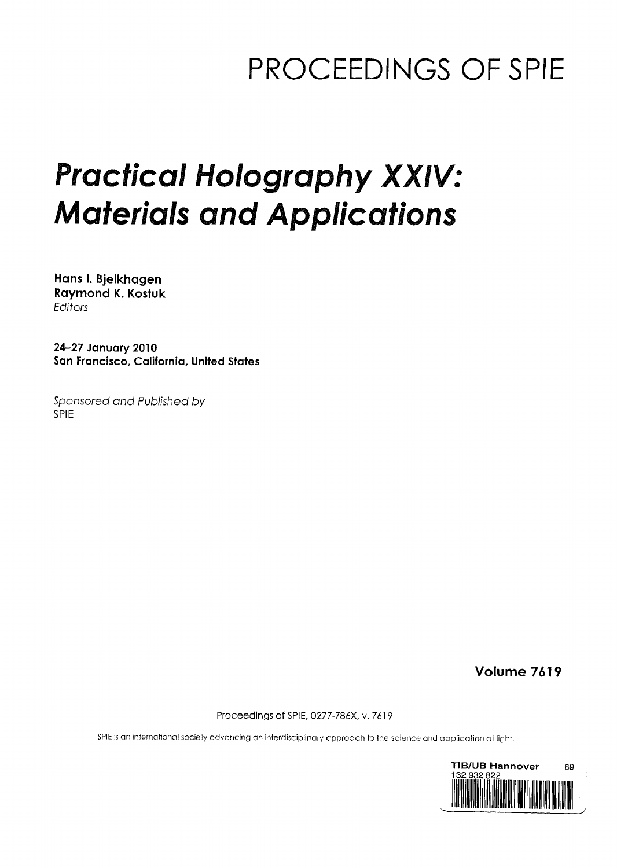## PROCEEDINGS OF SPIE

# Practical Holography XXIV: Materials and Applications

Hans I. Bjelkhagen Raymond K. Kostuk Editors

24-27 January 2010 San Francisco, California, United States

Sponsored and Published by SPIE

Volume 7619

Proceedings of SPIE, 0277-786X, v. 7619

SPIE is an international society advancing an interdisciplinary approach to the science and application of light.

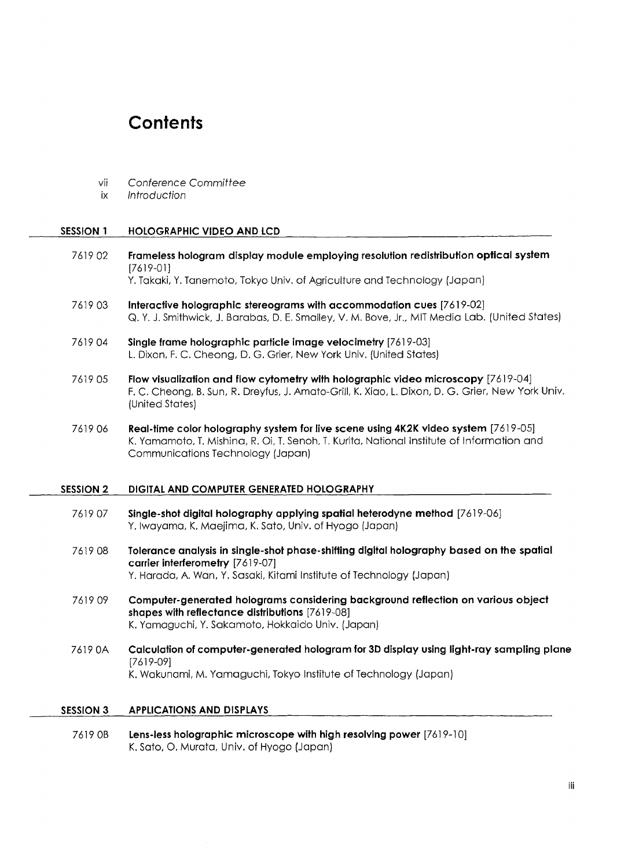### **Contents**

- vii Conference Committee
- ix Introduction

#### SESSION <sup>1</sup> HOLOGRAPHIC VIDEO AND LCD

7619 02 Frameless hologram display module employing resolution redistribution optical system [7619-01]

Y. Takaki, Y. Tanemoto, Tokyo Univ. of Agriculture and Technology (Japan)

- 7619 03 Interactive holographic stereograms with accommodation cues [7619-02] Q. Y. J. Smithwick, J. Barabas, D. E. Smalley, V. M. Bove, Jr., MIT Media Lab. (United States)
- 7619 04 Single frame holographic particle image velocimetry [7619-03] L. Dixon, F. C. Cheong, D. G. Grier, New York Univ. (United States)
- 7619 05 Flow visualization and flow cytometry with holographic video microscopy [7619-04] F. C. Cheong, B. Sun, R. Dreyfus, J. Amato-Grill, K. Xiao, L. Dixon, D. G. Grier, New York Univ. (United States)
- 7619 06 Real-time color holography system for live scene using 4K2K video system [7619-05] K. Yamamoto, T. Mishina, R. Oi, T. Senoh, T. Kurita, National Institute of Information and Communications Technology (Japan)

#### SESSION 2 DIGITAL AND COMPUTER GENERATED HOLOGRAPHY

- 7619 07 Single-shot digital holography applying spatial heterodyne method [7619-06] Y. Iwayama, K. Maejima, K. Sato, Univ. of Hyogo (Japan)
- 7619 08 Tolerance analysis in single-shot phase-shifting digital holography based on the spatial carrier interferometry [7619-07] Y. Harada, A. Wan, Y. Sasaki, Kitami Institute of Technology (Japan)
- 7619 09 Computer-generated holograms considering background reflection on various object shapes with reflectance distributions [7619-08] K. Yamaguchi, Y. Sakamoto, Hokkaido Univ. (Japan)
- 7619 OA Calculation of computer-generated hologram for 3D display using light-ray sampling plane [7619-09] K. Wakunami, M. Yamaguchi, Tokyo Institute of Technology (Japan)

#### SESSION <sup>3</sup> APPLICATIONS AND DISPLAYS

7619 0B Lens-less holographic microscope with high resolving power [7619-10] K. Sato, O. Murata, Univ. of Hyogo (Japan)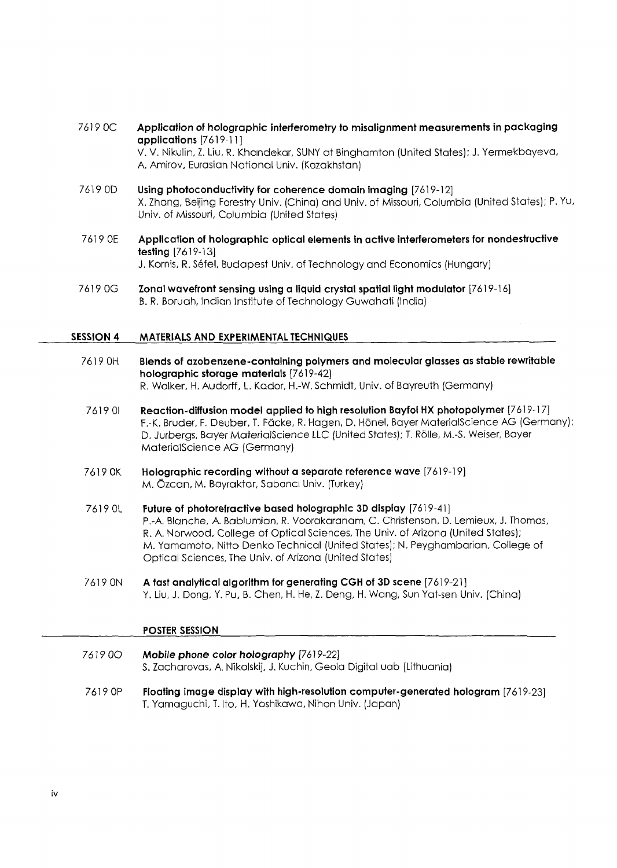- 7619 OC Application of holographic interferometry to misalignment measurements in packaging applications [7619-11] V. V. Nikulin, Z. Liu, R. Khandekar, SUNY at Binghamton (United States); J. Yermekbayeva A. Amirov, Eurasian National Univ. (Kazakhstan)
- 7619 OD Using photoconductivity for coherence domain imaging [7619-12] X. Zhang, Beijing Forestry Univ. (China) and Univ. of Missouri, Columbia (United States); P. Yu, Univ. of Missouri, Columbia (United States)
- 7619 OE Application of holographic optical elements in active interferometers for nondestructive testing [7619-13] J. Kornis, R. Sefel, Budapest Univ. of Technology and Economics (Hungary)
- 7619 OG Zonal wavefront sensing using a liquid crystal spatial light modulator [7619-16] B. R. Boruah, Indian Institute of Technology Guwahati (India)

#### SESSION 4 MATERIALS AND EXPERIMENTAL TECHNIQUES

- 7619 OH Blends of azobenzene-containing polymers and molecular glasses as stable rewritable holographic storage materials [7619-42] R. Walker, H. Audorff, L. Kador, H.-W. Schmidt, Univ. of Bayreuth (Germany)
- 7619 <sup>01</sup> Reaction-diffusion model applied to high resolution Bayfol HX photopolymer [7619-17] F.-K. Bruder, F. Deuber, T. Fdcke, R. Hagen, D. Honel, Bayer MaterialScience AG (Germany); D. Jurbergs, Bayer MaterialScience LLC (United States); T. Rolle, M.-S. Weiser, Bayer MaterialScience AG (Germany)
- 7619 OK Holographic recording without a separate reference wave [7619-19] M. Ozcan, M. Bayraktar, Sabanci Univ. (Turkey)
- 7619 0L Future of photorefractive based holographic 3D display [7619-41] P.-A. Blanche, A. Bablumian, R. Voorakaranam, C. Christenson, D. Lemieux, J. Thomas, R. A. Norwood, College of Optical Sciences, The Univ. of Arizona (United States); M. Yamamoto, Nitto Denko Technical (United States); N. Peyghambarian, College of Optical Sciences, The Univ. of Arizona (United States)
- <sup>7619</sup> ON A fast analytical algorithm for generating CGH of 3D scene [7619-21] Y. Liu, J. Dong, Y. Pu, B. Chen, H. He, Z. Deng, H. Wang, Sun Yat-sen Univ. (China)

#### POSTER SESSION

- 7619 00 Mobile phone color holography [7619-22] S. Zacharovas, A. Nikolskij, J. Kuchin, Geola Digital uab (Lithuania)
- 7619 OP Floating image display with high-resolution computer-generated hologram [7619-23] T. Yamaguchi, T. Ito, H. Yoshikawa, Nihon Univ. (Japan)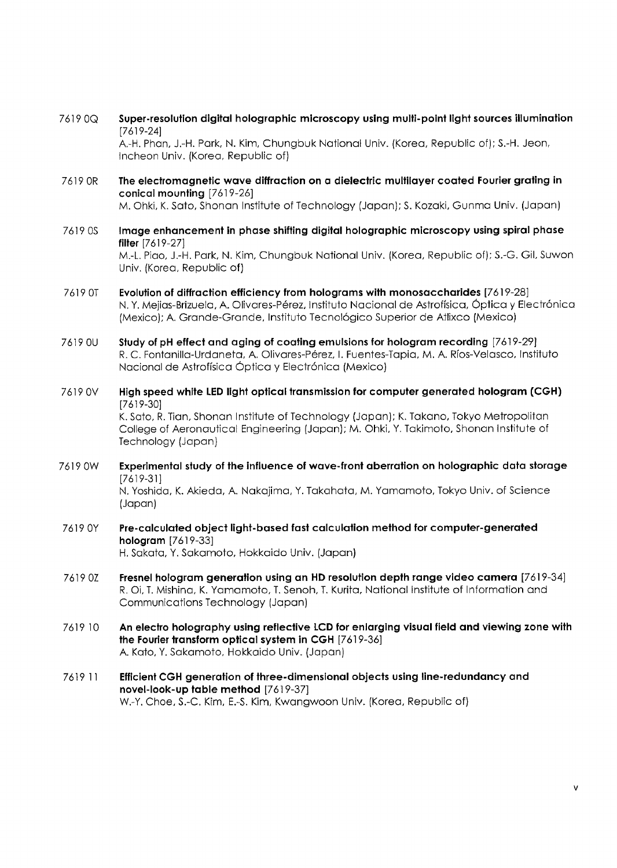7619 OQ Super-resolution digital holographic microscopy using multi-point light sources illumination [7619-24]

A.-H. Phan, J.-H. Park, N. Kim, Chungbuk National Univ. (Korea, Republic of); S.-H. Jeon, Incheon Univ. (Korea, Republic of)

- 7619 OR The electromagnetic wave diffraction on a dielectric multilayer coated Fourier grating in conical mounting [7619-26] M. Ohki, K. Sato, Shonan Institute of Technology (Japan); S. Kozaki, Gunma Univ. (Japan)
- 7619 OS Image enhancement in phase shifting digital holographic microscopy using spiral phase filter [7619-27] M.-L. Piao, J.-H. Park, N. Kim, Chungbuk National Univ. (Korea, Republic of); S.-G. Gil, Suwon Univ. (Korea, Republic of]
- <sup>7619</sup> OT Evolution of diffraction efficiency from holograms with monosaccharides [7619-28] N. Y. Mejias-Brizuela, A. Olivares-Perez, Instituto Nacional de Astroffsica, Optica <sup>y</sup> Electronica (Mexico); A. Grande-Grande, Instituto Tecnologico Superior de Atlixco (Mexico)
- 7619 OU Study of pH effect and aging of coating emulsions for hologram recording [7619-29] R. C. Fontanilla-Urdaneta, A. Olivares-Perez, I. Fuentes-Tapia, M. A. Rfos-Velasco, Instituto Nacional de Astrofísica Óptica y Electrónica (Mexico)
- 7619 OV High speed white LED light optical transmission for computer generated hologram (CGH) [7619-30] K. Sato, R. Tian, Shonan Institute of Technology (Japan); K. Takano, Tokyo Metropolitan College of Aeronautical Engineering (Japan); M. Ohki, Y. Takimoto, Shonan Institute of Technology (Japan)
- 7619 0W Experimental study of the influence of wave-front aberration on holographic data storage [7619-31]

N. Yoshida, K. Akieda, A. Nakajima, Y. Takahata, M. Yamamoto, Tokyo Univ. of Science (Japan)

- <sup>7619</sup> 0Y Pre-calculated object light-based fast calculation method for computer-generated hologram [7619-33] H. Sakata, Y. Sakamoto, Hokkaido Univ. (Japan)
- <sup>7619</sup> 0Z Fresnel hologram generation using an HD resolution depth range video camera [7619-34] R. Oi, T. Mishina, K. Yamamoto, T. Senoh, T. Kurita, National Institute of Information and Communications Technology (Japan)
- 7619 <sup>10</sup> An electro holography using reflective LCD for enlarging visual field and viewing zone with the Fourier transform optical system in CGH [7619-36] A. Kato, Y. Sakamoto, Hokkaido Univ. (Japan)
- <sup>7619</sup> <sup>11</sup> Efficient CGH generation of three-dimensional objects using line-redundancy and novel-look-up table method [7619-37] W.-Y. Choe, S.-C. Kim, E.-S. Kim, Kwangwoon Univ. (Korea, Republic of)